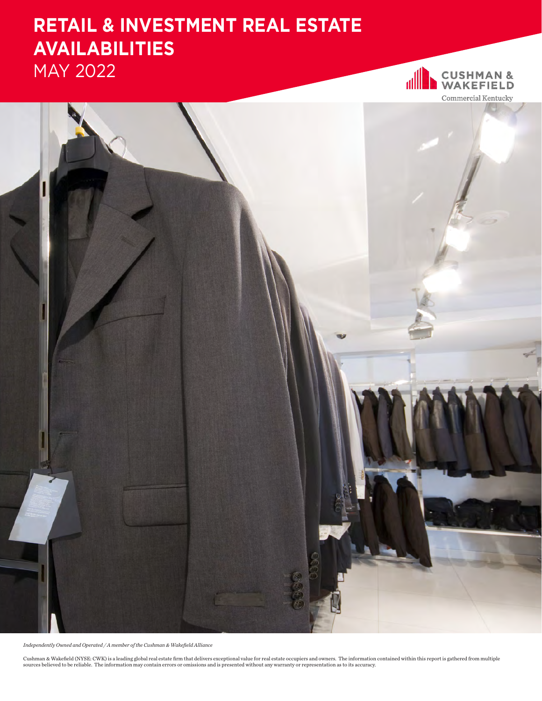# **RETAIL & INVESTMENT REAL ESTATE AVAILABILITIES** MAY 2022



*Independently Owned and Operated / A member of the Cushman & Wakefield Alliance*

Cushman & Wakefield (NYSE: CWK) is a leading global real estate firm that delivers exceptional value for real estate occupiers and owners. The information contained within this report is gathered from multiple<br>sources beli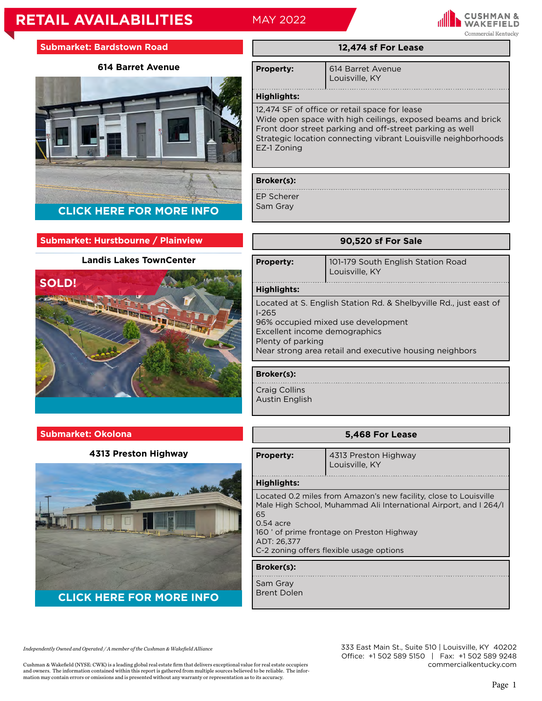

#### **Submarket: Bardstown Road**

#### **614 Barret Avenue**



#### **Submarket: Hurstbourne / Plainview**

#### **Landis Lakes TownCenter**



### **Submarket: Okolona**

## **4313 Preston Highway**



|             | Louisville, KY                                                 |
|-------------|----------------------------------------------------------------|
| Highlights: |                                                                |
|             | 12,474 SF of office or retail space for lease                  |
|             | Wide open space with high ceilings, exposed beams and brick    |
|             | Front door street parking and off-street parking as well       |
|             | Strategic location connecting vibrant Louisville neighborhoods |

**12,474 sf For Lease**

**Property:** 614 Barret Avenue

#### **Broker(s):**

EP Scherer

EZ-1 Zoning

Sam Gray

#### **90,520 sf For Sale**

| <b>Property:</b>               | 101-179 South English Station Road<br>Louisville, KY                                                                                                                                                |  |
|--------------------------------|-----------------------------------------------------------------------------------------------------------------------------------------------------------------------------------------------------|--|
| <b>Highlights:</b>             |                                                                                                                                                                                                     |  |
| $1 - 265$<br>Plenty of parking | Located at S. English Station Rd. & Shelbyville Rd., just east of<br>96% occupied mixed use development<br>Excellent income demographics<br>Near strong area retail and executive housing neighbors |  |
| Broker(s):                     |                                                                                                                                                                                                     |  |

Craig Collins Austin English

| 5,468 For Lease                                                                                                                                                                                                                                                      |                                        |  |
|----------------------------------------------------------------------------------------------------------------------------------------------------------------------------------------------------------------------------------------------------------------------|----------------------------------------|--|
| <b>Property:</b>                                                                                                                                                                                                                                                     | 4313 Preston Highway<br>Louisville, KY |  |
| <b>Highlights:</b>                                                                                                                                                                                                                                                   |                                        |  |
| Located 0.2 miles from Amazon's new facility, close to Louisville<br>Male High School, Muhammad Ali International Airport, and I 264/I<br>65<br>$0.54$ acre<br>160 ' of prime frontage on Preston Highway<br>ADT: 26,377<br>C-2 zoning offers flexible usage options |                                        |  |
| Broker(s):                                                                                                                                                                                                                                                           |                                        |  |
| Sam Gray<br><b>Brent Dolen</b>                                                                                                                                                                                                                                       |                                        |  |

Cushman & Wakefield (NYSE: CWK) is a leading global real estate firm that delivers exceptional value for real estate occupiers commercialkentucky.com and owners. The information contained within this report is gathered from multiple sources believed to be reliable. The infor-<br>mation may contain errors or omissions and is presented without any warranty or representation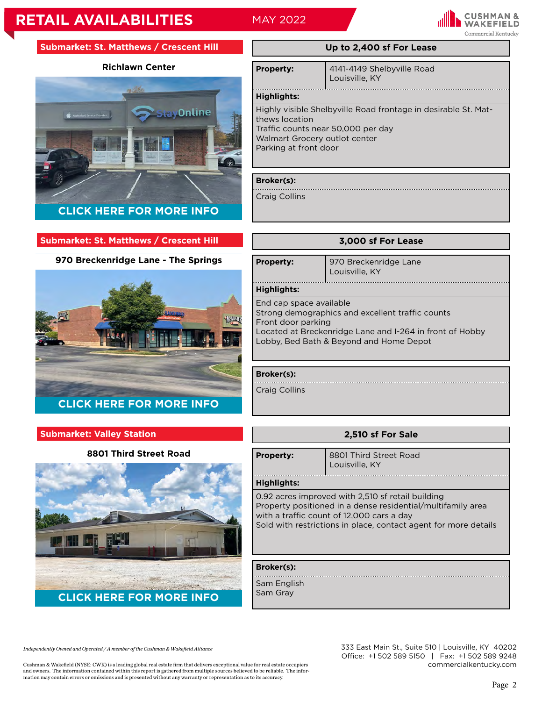

#### **Submarket: St. Matthews / Crescent Hill**

#### **Richlawn Center**



#### **Submarket: St. Matthews / Crescent Hill**

#### **970 Breckenridge Lane - The Springs**



#### **Submarket: Valley Station**



| 2,510 sf For Sale                                               |                        |  |
|-----------------------------------------------------------------|------------------------|--|
|                                                                 |                        |  |
| <b>Property:</b>                                                | 8801 Third Street Road |  |
|                                                                 | Louisville, KY         |  |
|                                                                 |                        |  |
| Highlights:                                                     |                        |  |
| 0.92 acres improved with 2,510 sf retail building               |                        |  |
| Property positioned in a dense residential/multifamily area     |                        |  |
| with a traffic count of 12,000 cars a day                       |                        |  |
| Sold with restrictions in place, contact agent for more details |                        |  |
|                                                                 |                        |  |
|                                                                 |                        |  |
|                                                                 |                        |  |
| Broker(s):                                                      |                        |  |

#### 

Sam English Sam Gray

Cushman & Wakefield (NYSE: CWK) is a leading global real estate firm that delivers exceptional value for real estate occupiers commercialkentucky.com and owners. The information contained within this report is gathered from multiple sources believed to be reliable. The information may contain errors or omissions and is presented without any warranty or representation as to its accuracy.

## **Up to 2,400 sf For Lease**

**Property:** 4141-4149 Shelbyville Road Louisville, KY **Highlights:**

Highly visible Shelbyville Road frontage in desirable St. Matthews location Traffic counts near 50,000 per day Walmart Grocery outlot center Parking at front door

#### **Broker(s):**

Craig Collins

#### **3,000 sf For Lease**

## **Property:** 970 Breckenridge Lane Louisville, KY **Highlights:** End cap space available Strong demographics and excellent traffic counts Front door parking Located at Breckenridge Lane and I-264 in front of Hobby Lobby, Bed Bath & Beyond and Home Depot

**Broker(s):** . . . . . . . . . . .

Craig Collins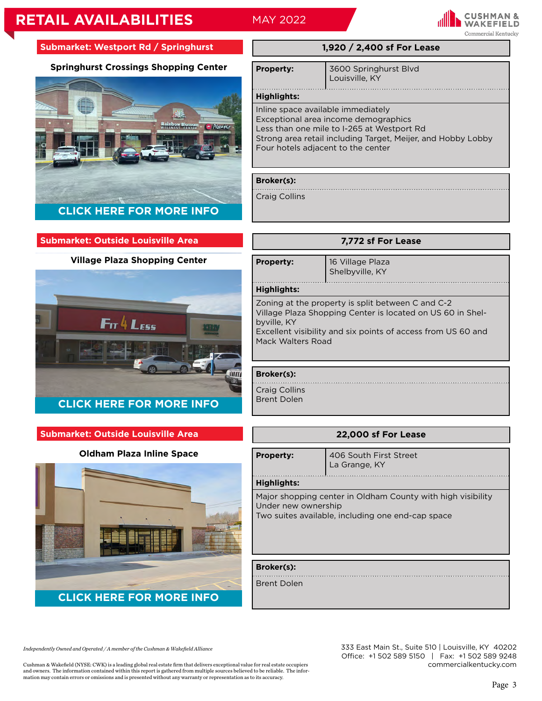

#### **Submarket: Westport Rd / Springhurst**

#### **Springhurst Crossings Shopping Center**



#### **Submarket: Outside Louisville Area**

#### **Village Plaza Shopping Center**



### **Submarket: Outside Louisville Area**



| 22,000 sf For Lease |                                                                                                                                         |  |
|---------------------|-----------------------------------------------------------------------------------------------------------------------------------------|--|
| <b>Property:</b>    | 406 South First Street<br>La Grange, KY                                                                                                 |  |
| <b>Highlights:</b>  |                                                                                                                                         |  |
|                     | Major shopping center in Oldham County with high visibility<br>Under new ownership<br>Two suites available, including one end-cap space |  |

#### **Broker(s):**

Brent Dolen

Cushman & Wakefield (NYSE: CWK) is a leading global real estate firm that delivers exceptional value for real estate occupiers commercialkentucky.com and owners. The information contained within this report is gathered from multiple sources believed to be reliable. The information may contain errors or omissions and is presented without any warranty or representation as to its accuracy.

### *Independently Owned and Operated / A member of the Cushman & Wakefield Alliance* 333 East Main St., Suite 510 | Louisville, KY 40202 Office: +1 502 589 5150 | Fax: +1 502 589 9248

# Page 3

#### **1,920 / 2,400 sf For Lease**

**Property:** 3600 Springhurst Blvd Louisville, KY 

#### **Highlights:**

Inline space available immediately Exceptional area income demographics Less than one mile to I-265 at Westport Rd Strong area retail including Target, Meijer, and Hobby Lobby Four hotels adjacent to the center

#### **Broker(s):**

Craig Collins

#### **7,772 sf For Lease**

| <b>Property:</b>                 | 16 Village Plaza<br>Shelbyville, KY                                                                                                                                             |
|----------------------------------|---------------------------------------------------------------------------------------------------------------------------------------------------------------------------------|
| Highlights:                      |                                                                                                                                                                                 |
| byville, KY<br>Mack Walters Road | Zoning at the property is split between C and C-2<br>Village Plaza Shopping Center is located on US 60 in Shel-<br>Excellent visibility and six points of access from US 60 and |

#### **Broker(s):** . . . . . . . . . .

Craig Collins Brent Dolen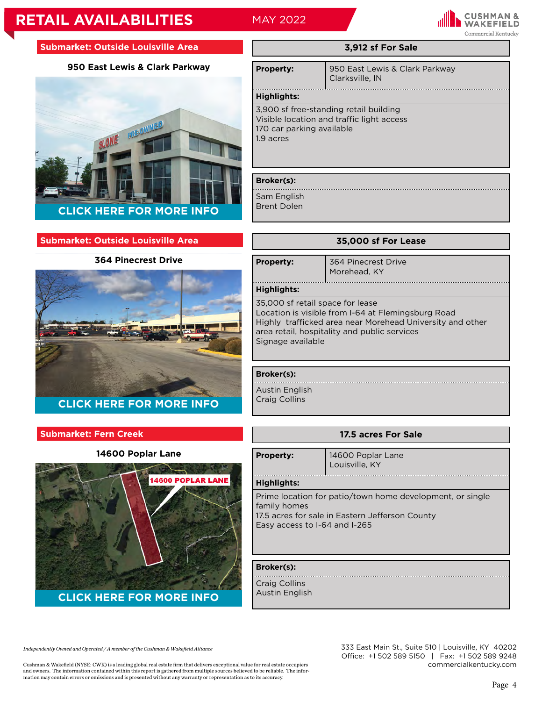

#### **Submarket: Outside Louisville Area**

#### **950 East Lewis & Clark Parkway**



#### **Submarket: Outside Louisville Area**

#### **364 Pinecrest Drive**



## **Submarket: Fern Creek**



| 17.5 acres For Sale                    |                                                                                                                                               |
|----------------------------------------|-----------------------------------------------------------------------------------------------------------------------------------------------|
| <b>Property:</b>                       | 14600 Poplar Lane<br>Louisville, KY                                                                                                           |
| <b>Highlights:</b>                     |                                                                                                                                               |
| family homes                           | Prime location for patio/town home development, or single<br>17.5 acres for sale in Eastern Jefferson County<br>Easy access to I-64 and I-265 |
| Broker(s):                             |                                                                                                                                               |
| Craig Collins<br><b>Austin English</b> |                                                                                                                                               |

*Independently Owned and Operated / A member of the Cushman & Wakefield Alliance* 333 East Main St., Suite 510 | Louisville, KY 40202

Cushman & Wakefield (NYSE: CWK) is a leading global real estate firm that delivers exceptional value for real estate occupiers commercialkentucky.com and owners. The information contained within this report is gathered from multiple sources believed to be reliable. The information may contain errors or omissions and is presented without any warranty or representation as to its accuracy.

### **3,912 sf For Sale**

| <b>Property:</b>                       | 950 East Lewis & Clark Parkway<br>Clarksville, IN                                   |
|----------------------------------------|-------------------------------------------------------------------------------------|
| <b>Highlights:</b>                     |                                                                                     |
| 170 car parking available<br>1.9 acres | 3,900 sf free-standing retail building<br>Visible location and traffic light access |
| Broker(s):                             |                                                                                     |

Sam English Brent Dolen

#### **35,000 sf For Lease**

**Property:** 364 Pinecrest Drive Morehead, KY

35,000 sf retail space for lease Location is visible from I-64 at Flemingsburg Road Highly trafficked area near Morehead University and other area retail, hospitality and public services Signage available

#### **Broker(s):** . . . . . . . . . . .

**Highlights:**

Austin English Craig Collins

Office: +1 502 589 5150 | Fax: +1 502 589 9248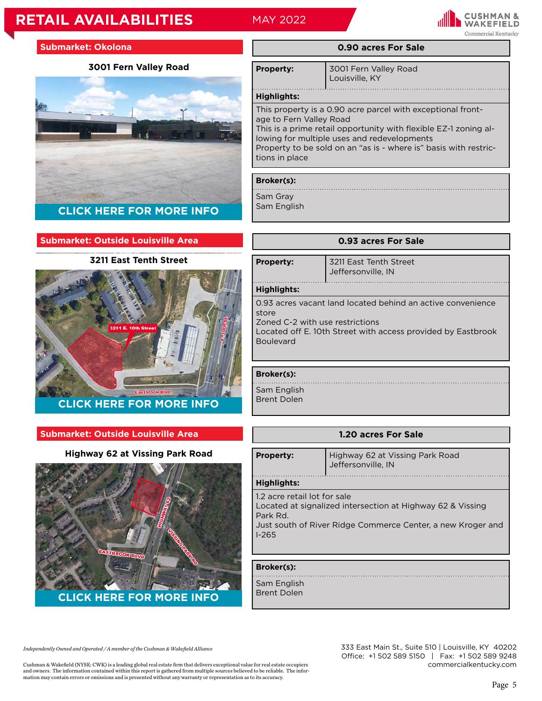

#### **Submarket: Okolona**

#### **3001 Fern Valley Road**



**[CLICK HERE FOR MORE INFO](https://commercialkentucky.com/astro-property-page/?property_id=6303
)**

#### **Submarket: Outside Louisville Area**

#### **3211 East Tenth Street**



## **Submarket: Outside Louisville Area**

**Highway 62 at Vissing Park Road**



| <b>Highlights:</b>                                                                                              |
|-----------------------------------------------------------------------------------------------------------------|
| This property is a 0.90 acre parcel with exceptional front-<br>age to Fern Valley Road                          |
| This is a prime retail opportunity with flexible EZ-1 zoning al-<br>lowing for multiple uses and redevelopments |
| Property to be sold on an "as is - where is" basis with restric-<br>tions in place                              |

Louisville, KY

**0.90 acres For Sale**

**Property:** 3001 Fern Valley Road

#### **Broker(s):**

Sam Gray

Sam English

## **Property:** 3211 East Tenth Street Jeffersonville, IN **Highlights:** 0.93 acres vacant land located behind an active convenience store Zoned C-2 with use restrictions Located off E. 10th Street with access provided by Eastbrook Boulevard **0.93 acres For Sale**

#### **Broker(s):** . . . . . . . . . . . .

Sam English Brent Dolen

| <b>1.20 acres For Sale</b>                                                                                                                                                         |                                                       |  |
|------------------------------------------------------------------------------------------------------------------------------------------------------------------------------------|-------------------------------------------------------|--|
| <b>Property:</b>                                                                                                                                                                   | Highway 62 at Vissing Park Road<br>Jeffersonville, IN |  |
| Highlights:                                                                                                                                                                        |                                                       |  |
| 1.2 acre retail lot for sale<br>Located at signalized intersection at Highway 62 & Vissing<br>Park Rd.<br>Just south of River Ridge Commerce Center, a new Kroger and<br>$1 - 265$ |                                                       |  |
|                                                                                                                                                                                    |                                                       |  |
| Broker(s):                                                                                                                                                                         |                                                       |  |
| Sam English<br><b>Brent Dolen</b>                                                                                                                                                  |                                                       |  |

Cushman & Wakefield (NYSE: CWK) is a leading global real estate firm that delivers exceptional value for real estate occupiers commercialkentucky.com and owners. The information contained within this report is gathered from multiple sources believed to be reliable. The information may contain errors or omissions and is presented without any warranty or representation as to its accuracy.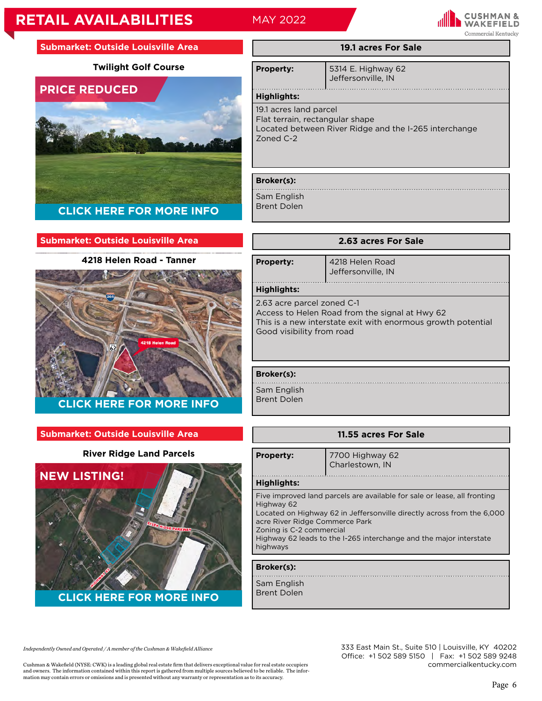

#### **Submarket: Outside Louisville Area**

**Twilight Golf Course**



#### **Submarket: Outside Louisville Area**

#### **4218 Helen Road - Tanner**



## **Submarket: Outside Louisville Area**



#### **19.1 acres For Sale**

**Property:** 5314 E. Highway 62 Jeffersonville, IN

#### **Highlights:**

19.1 acres land parcel Flat terrain, rectangular shape Located between River Ridge and the I-265 interchange Zoned C-2

#### **Broker(s):**

Sam English Brent Dolen

#### **2.63 acres For Sale**

#### **Property:** 4218 Helen Road Jeffersonville, IN **Highlights:** 2.63 acre parcel zoned C-1 Access to Helen Road from the signal at Hwy 62 This is a new interstate exit with enormous growth potential Good visibility from road

#### **Broker(s):** . . . . . . . . . . .

Sam English Brent Dolen

| 11.55 acres For Sale                                                                 |                                                                                                                                                                                                                          |  |
|--------------------------------------------------------------------------------------|--------------------------------------------------------------------------------------------------------------------------------------------------------------------------------------------------------------------------|--|
| <b>Property:</b>                                                                     | 7700 Highway 62<br>Charlestown, IN                                                                                                                                                                                       |  |
| Highlights:                                                                          |                                                                                                                                                                                                                          |  |
| Highway 62<br>acre River Ridge Commerce Park<br>Zoning is C-2 commercial<br>highways | Five improved land parcels are available for sale or lease, all fronting<br>Located on Highway 62 in Jeffersonville directly across from the 6,000<br>Highway 62 leads to the I-265 interchange and the major interstate |  |
|                                                                                      |                                                                                                                                                                                                                          |  |
| Broker(s):                                                                           |                                                                                                                                                                                                                          |  |
| Sam English<br><b>Brent Dolen</b>                                                    |                                                                                                                                                                                                                          |  |

Cushman & Wakefield (NYSE: CWK) is a leading global real estate firm that delivers exceptional value for real estate occupiers commercialkentucky.com and owners. The information contained within this report is gathered from multiple sources believed to be reliable. The information may contain errors or omissions and is presented without any warranty or representation as to its accuracy.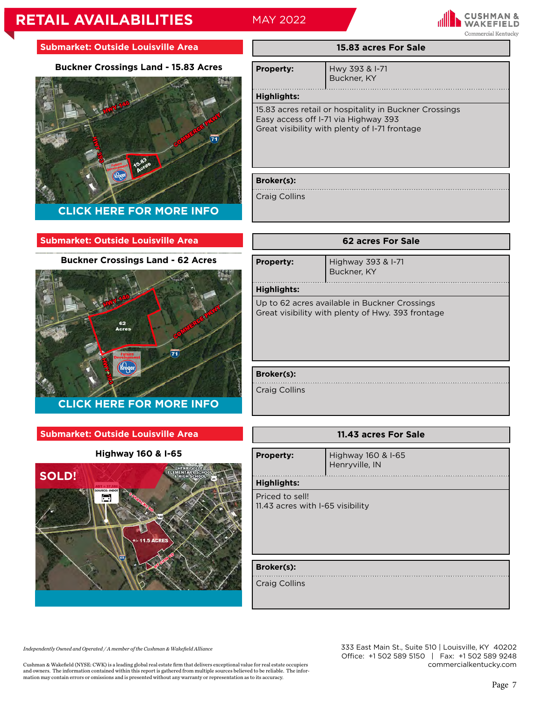**Highlights:**



#### **Submarket: Outside Louisville Area**

#### **Buckner Crossings Land - 15.83 Acres**



**[CLICK HERE FOR MORE INFO](https://commercialkentucky.com/astro-property-page/?property_id=2894
)**

#### **Submarket: Outside Louisville Area**

#### **Buckner Crossings Land - 62 Acres**



## **Submarket: Outside Louisville Area**



# **11.43 acres For Sale Property:** | Highway 160 & I-65 Henryville, IN **Highlights:** Priced to sell! 11.43 acres with I-65 visibility

#### **Broker(s):**

Craig Collins

Cushman & Wakefield (NYSE: CWK) is a leading global real estate firm that delivers exceptional value for real estate occupiers commercialkentucky.com and owners. The information contained within this report is gathered from multiple sources believed to be reliable. The information may contain errors or omissions and is presented without any warranty or representation as to its accuracy.

## 

15.83 acres retail or hospitality in Buckner Crossings Easy access off I-71 via Highway 393 Great visibility with plenty of I-71 frontage

Buckner, KY

**15.83 acres For Sale**

**Property:** | Hwy 393 & I-71

#### **Broker(s):**

Craig Collins

# **62 acres For Sale Property:** | Highway 393 & I-71 Buckner, KY **Highlights:** Up to 62 acres available in Buckner Crossings Great visibility with plenty of Hwy. 393 frontage **Broker(s):** . . . . . . . . . Craig Collins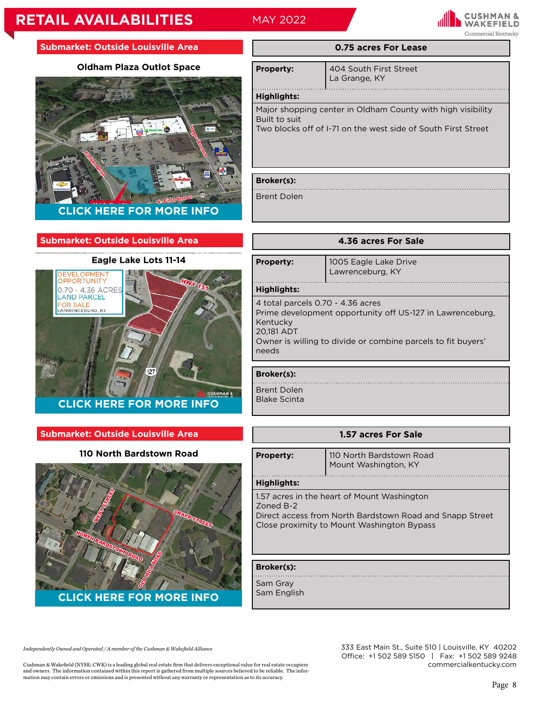**Highlights:**

Built to suit

**Property:** 404 South First Street

**Property:** 1005 Eagle Lake Drive

4 total parcels 0.70 - 4.36 acres

Lawrenceburg, KY

Prime development opportunity off US-127 in Lawrenceburg,

**4.36 acres For Sale**

Owner is willing to divide or combine parcels to fit buyers'

La Grange, KY

Major shopping center in Oldham County with high visibility

**0.75 acres For Lease**

Two blocks off of I-71 on the west side of South First Street

**Broker(s):** Brent Dolen

**Broker(s):** Brent Dolen Blake Scinta

. . . . . . . . . . .

**Highlights:**

Kentucky 20,181 ADT

needs



#### **Submarket: Outside Louisville Area**

#### **Oldham Plaza Outlot Space**



**[CLICK HERE FOR MORE INFO](https://commercialkentucky.com/astro-property-page/?property_id=6120
)**

#### **Submarket: Outside Louisville Area**

#### **Eagle Lake Lots 11-14**



### **Submarket: Outside Louisville Area**





| <b>Property:</b>   | 110 North Bardstown Road<br>Mount Washington, KY                                                                                                      |
|--------------------|-------------------------------------------------------------------------------------------------------------------------------------------------------|
| <b>Highlights:</b> |                                                                                                                                                       |
| Zoned B-2          | 1.57 acres in the heart of Mount Washington<br>Direct access from North Bardstown Road and Snapp Street<br>Close proximity to Mount Washington Bypass |

#### **Broker(s):** . . . . . . . . . . . . . . . . . . .

Sam Gray Sam English

Cushman & Wakefield (NYSE: CWK) is a leading global real estate firm that delivers exceptional value for real estate occupiers commercialkentucky.com and owners. The information contained within this report is gathered from multiple sources believed to be reliable. The information may contain errors or omissions and is presented without any warranty or representation as to its accuracy.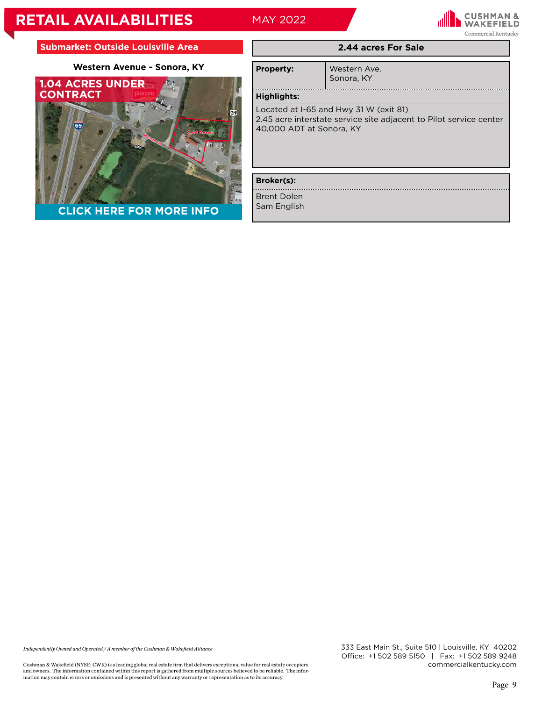

#### **Submarket: Outside Louisville Area**

**Western Avenue - Sonora, KY**



**[CLICK HERE FOR MORE INFO](https://commercialkentucky.com/astro-property-page/?property_id=4372
)**

#### **2.44 acres For Sale**

**Property:** Western Ave. Sonora, KY

#### **Highlights:**

Located at I-65 and Hwy 31 W (exit 81) 2.45 acre interstate service site adjacent to Pilot service center 40,000 ADT at Sonora, KY

#### **Broker(s):**

Brent Dolen Sam English

Cushman & Wakefield (NYSE: CWK) is a leading global real estate firm that delivers exceptional value for real estate occupiers commercialkentucky.com and owners. The information contained within this report is gathered from multiple sources believed to be reliable. The infor-<br>mation may contain errors or omissions and is presented without any warranty or representation